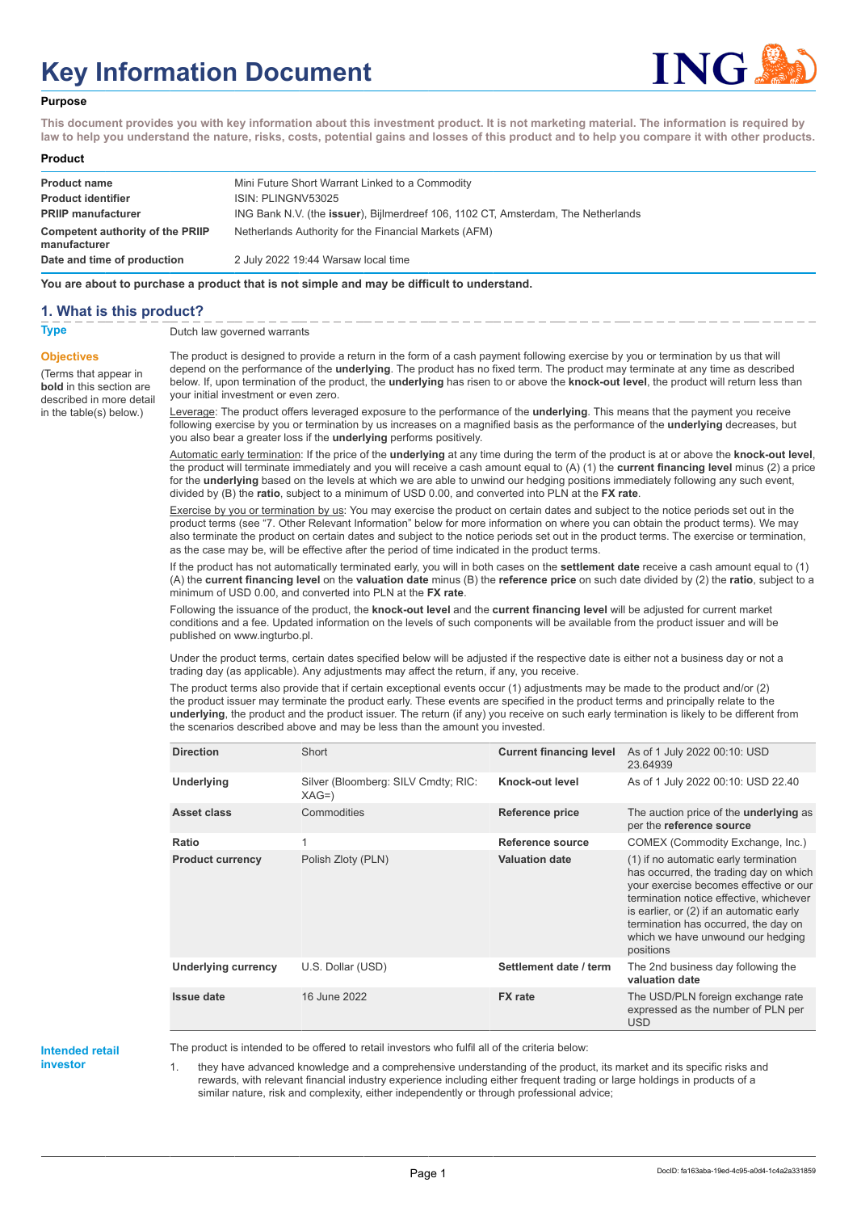# **Key Information Document**



#### **Purpose**

**This document provides you with key information about this investment product. It is not marketing material. The information is required by law to help you understand the nature, risks, costs, potential gains and losses of this product and to help you compare it with other products.**

#### **Product**

| <b>Product name</b><br><b>Product identifier</b> | Mini Future Short Warrant Linked to a Commodity<br>ISIN: PLINGNV53025                     |
|--------------------------------------------------|-------------------------------------------------------------------------------------------|
| <b>PRIIP manufacturer</b>                        | ING Bank N.V. (the <b>issuer</b> ), Bijlmerdreef 106, 1102 CT, Amsterdam, The Netherlands |
| Competent authority of the PRIIP<br>manufacturer | Netherlands Authority for the Financial Markets (AFM)                                     |
| Date and time of production                      | 2 July 2022 19:44 Warsaw local time                                                       |

**You are about to purchase a product that is not simple and may be difficult to understand.**

#### **1. What is this product?**

**Objectives**

(Terms that appear in **bold** in this section are

in the table(s) below.)

### **Type** Dutch law governed warrants

described in more detail The product is designed to provide a return in the form of a cash payment following exercise by you or termination by us that will depend on the performance of the **underlying**. The product has no fixed term. The product may terminate at any time as described below. If, upon termination of the product, the **underlying** has risen to or above the **knock-out level**, the product will return less than your initial investment or even zero.

> Leverage: The product offers leveraged exposure to the performance of the **underlying**. This means that the payment you receive following exercise by you or termination by us increases on a magnified basis as the performance of the **underlying** decreases, but you also bear a greater loss if the **underlying** performs positively.

Automatic early termination: If the price of the **underlying** at any time during the term of the product is at or above the **knock-out level**, the product will terminate immediately and you will receive a cash amount equal to (A) (1) the **current financing level** minus (2) a price for the **underlying** based on the levels at which we are able to unwind our hedging positions immediately following any such event, divided by (B) the **ratio**, subject to a minimum of USD 0.00, and converted into PLN at the **FX rate**.

Exercise by you or termination by us: You may exercise the product on certain dates and subject to the notice periods set out in the product terms (see "7. Other Relevant Information" below for more information on where you can obtain the product terms). We may also terminate the product on certain dates and subject to the notice periods set out in the product terms. The exercise or termination, as the case may be, will be effective after the period of time indicated in the product terms.

If the product has not automatically terminated early, you will in both cases on the **settlement date** receive a cash amount equal to (1) (A) the **current financing level** on the **valuation date** minus (B) the **reference price** on such date divided by (2) the **ratio**, subject to a minimum of USD 0.00, and converted into PLN at the **FX rate**.

Following the issuance of the product, the **knock-out level** and the **current financing level** will be adjusted for current market conditions and a fee. Updated information on the levels of such components will be available from the product issuer and will be published on www.ingturbo.pl.

Under the product terms, certain dates specified below will be adjusted if the respective date is either not a business day or not a trading day (as applicable). Any adjustments may affect the return, if any, you receive.

The product terms also provide that if certain exceptional events occur (1) adjustments may be made to the product and/or (2) the product issuer may terminate the product early. These events are specified in the product terms and principally relate to the **underlying**, the product and the product issuer. The return (if any) you receive on such early termination is likely to be different from the scenarios described above and may be less than the amount you invested.

| <b>Direction</b>           | Short                                         | <b>Current financing level</b> | As of 1 July 2022 00:10: USD<br>23.64939                                                                                                                                                                                                                                                                   |
|----------------------------|-----------------------------------------------|--------------------------------|------------------------------------------------------------------------------------------------------------------------------------------------------------------------------------------------------------------------------------------------------------------------------------------------------------|
| Underlying                 | Silver (Bloomberg: SILV Cmdty; RIC:<br>$XAG=$ | Knock-out level                | As of 1 July 2022 00:10: USD 22.40                                                                                                                                                                                                                                                                         |
| Asset class                | Commodities                                   | <b>Reference price</b>         | The auction price of the <b>underlying</b> as<br>per the reference source                                                                                                                                                                                                                                  |
| Ratio                      | 1                                             | Reference source               | COMEX (Commodity Exchange, Inc.)                                                                                                                                                                                                                                                                           |
| <b>Product currency</b>    | Polish Zloty (PLN)                            | <b>Valuation date</b>          | (1) if no automatic early termination<br>has occurred, the trading day on which<br>your exercise becomes effective or our<br>termination notice effective, whichever<br>is earlier, or (2) if an automatic early<br>termination has occurred, the day on<br>which we have unwound our hedging<br>positions |
| <b>Underlying currency</b> | U.S. Dollar (USD)                             | Settlement date / term         | The 2nd business day following the<br>valuation date                                                                                                                                                                                                                                                       |
| <b>Issue date</b>          | 16 June 2022                                  | <b>FX</b> rate                 | The USD/PLN foreign exchange rate<br>expressed as the number of PLN per<br><b>USD</b>                                                                                                                                                                                                                      |

#### **Intended retail investor**

The product is intended to be offered to retail investors who fulfil all of the criteria below:

1. they have advanced knowledge and a comprehensive understanding of the product, its market and its specific risks and rewards, with relevant financial industry experience including either frequent trading or large holdings in products of a similar nature, risk and complexity, either independently or through professional advice;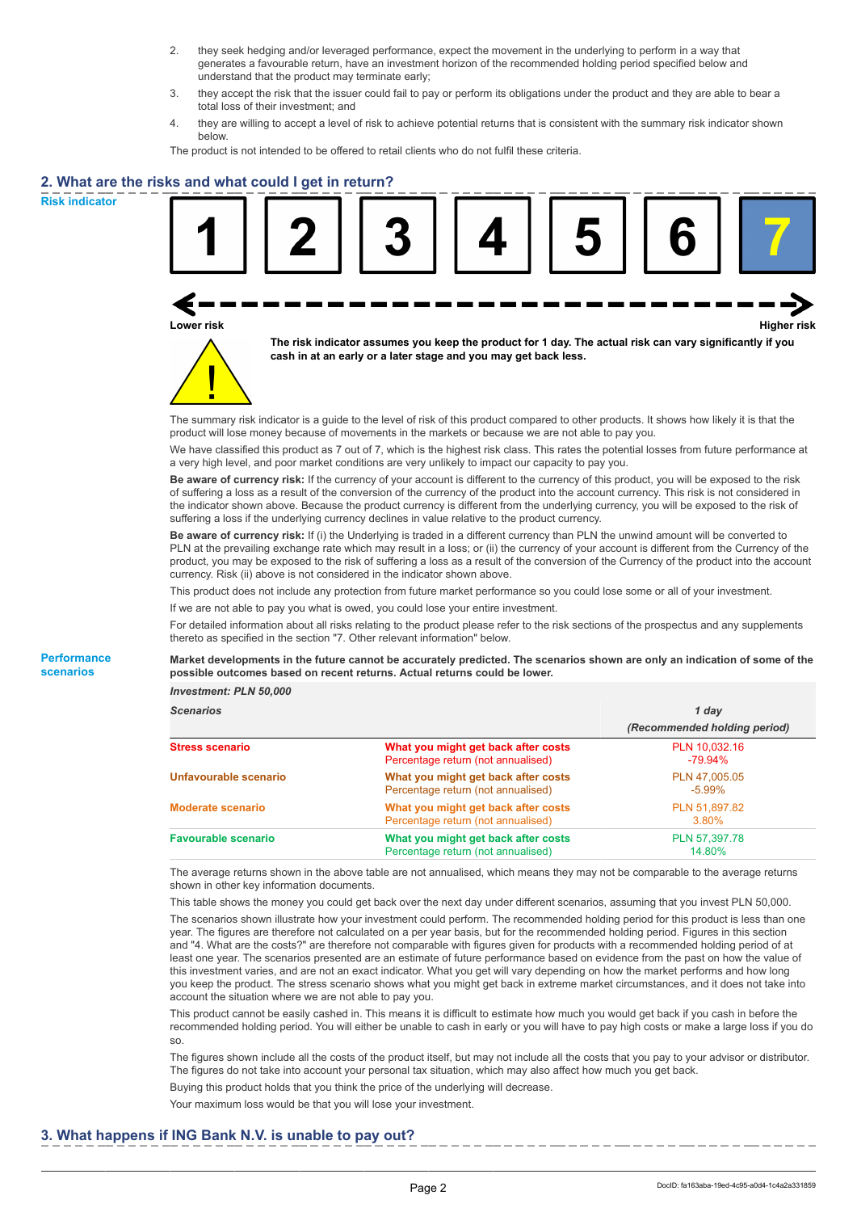- 2. they seek hedging and/or leveraged performance, expect the movement in the underlying to perform in a way that generates a favourable return, have an investment horizon of the recommended holding period specified below and understand that the product may terminate early;
- 3. they accept the risk that the issuer could fail to pay or perform its obligations under the product and they are able to bear a total loss of their investment; and
- 4. they are willing to accept a level of risk to achieve potential returns that is consistent with the summary risk indicator shown below.

The product is not intended to be offered to retail clients who do not fulfil these criteria.

## **2. What are the risks and what could I get in return?**

**Risk indicator**

**Performance scenarios**





**The risk indicator assumes you keep the product for 1 day. The actual risk can vary significantly if you cash in at an early or a later stage and you may get back less.**

The summary risk indicator is a guide to the level of risk of this product compared to other products. It shows how likely it is that the product will lose money because of movements in the markets or because we are not able to pay you.

We have classified this product as 7 out of 7, which is the highest risk class. This rates the potential losses from future performance at a very high level, and poor market conditions are very unlikely to impact our capacity to pay you.

**Be aware of currency risk:** If the currency of your account is different to the currency of this product, you will be exposed to the risk of suffering a loss as a result of the conversion of the currency of the product into the account currency. This risk is not considered in the indicator shown above. Because the product currency is different from the underlying currency, you will be exposed to the risk of suffering a loss if the underlying currency declines in value relative to the product currency.

**Be aware of currency risk:** If (i) the Underlying is traded in a different currency than PLN the unwind amount will be converted to PLN at the prevailing exchange rate which may result in a loss; or (ii) the currency of your account is different from the Currency of the product, you may be exposed to the risk of suffering a loss as a result of the conversion of the Currency of the product into the account currency. Risk (ii) above is not considered in the indicator shown above.

This product does not include any protection from future market performance so you could lose some or all of your investment.

If we are not able to pay you what is owed, you could lose your entire investment.

For detailed information about all risks relating to the product please refer to the risk sections of the prospectus and any supplements thereto as specified in the section "7. Other relevant information" below.

**Market developments in the future cannot be accurately predicted. The scenarios shown are only an indication of some of the possible outcomes based on recent returns. Actual returns could be lower.**

*Investment: PLN 50,000*

| <b>Scenarios</b>           |                                                                           | 1 day<br>(Recommended holding period) |  |
|----------------------------|---------------------------------------------------------------------------|---------------------------------------|--|
|                            |                                                                           |                                       |  |
| Stress scenario            | What you might get back after costs<br>Percentage return (not annualised) | PLN 10,032.16<br>-79.94%              |  |
| Unfavourable scenario      | What you might get back after costs<br>Percentage return (not annualised) | PLN 47,005.05<br>$-5.99\%$            |  |
| <b>Moderate scenario</b>   | What you might get back after costs<br>Percentage return (not annualised) | PLN 51.897.82<br>3.80%                |  |
| <b>Favourable scenario</b> | What you might get back after costs<br>Percentage return (not annualised) | PLN 57,397.78<br>14.80%               |  |

The average returns shown in the above table are not annualised, which means they may not be comparable to the average returns shown in other key information documents.

This table shows the money you could get back over the next day under different scenarios, assuming that you invest PLN 50,000. The scenarios shown illustrate how your investment could perform. The recommended holding period for this product is less than one year. The figures are therefore not calculated on a per year basis, but for the recommended holding period. Figures in this section and "4. What are the costs?" are therefore not comparable with figures given for products with a recommended holding period of at least one year. The scenarios presented are an estimate of future performance based on evidence from the past on how the value of this investment varies, and are not an exact indicator. What you get will vary depending on how the market performs and how long you keep the product. The stress scenario shows what you might get back in extreme market circumstances, and it does not take into account the situation where we are not able to pay you.

This product cannot be easily cashed in. This means it is difficult to estimate how much you would get back if you cash in before the recommended holding period. You will either be unable to cash in early or you will have to pay high costs or make a large loss if you do so.

The figures shown include all the costs of the product itself, but may not include all the costs that you pay to your advisor or distributor. The figures do not take into account your personal tax situation, which may also affect how much you get back.

Buying this product holds that you think the price of the underlying will decrease.

Your maximum loss would be that you will lose your investment.

## **3. What happens if ING Bank N.V. is unable to pay out?**